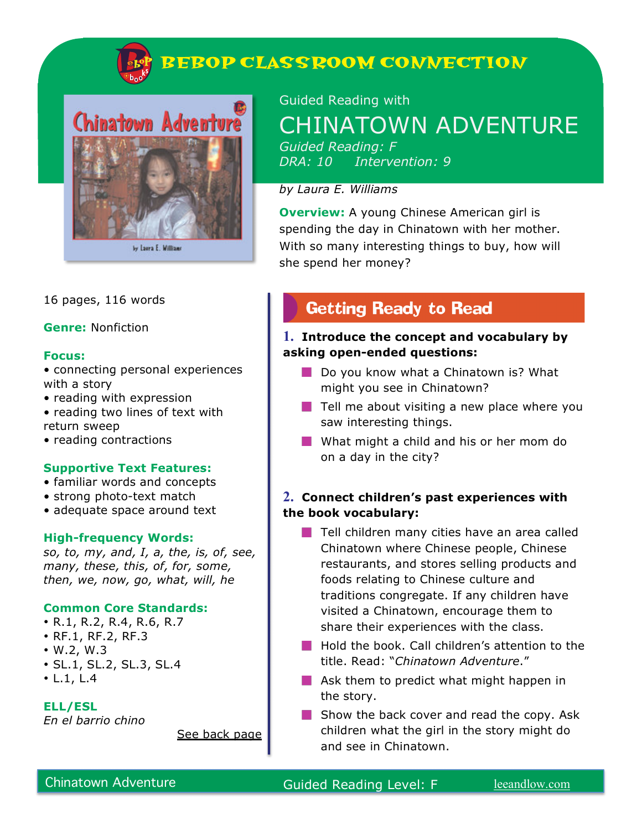



16 pages, 116 words

**Genre:** Nonfiction

#### **Focus:**

- connecting personal experiences with a story
- reading with expression
- reading two lines of text with return sweep
- reading contractions

#### **Supportive Text Features:**

- familiar words and concepts
- strong photo-text match
- adequate space around text

#### **High-frequency Words:**

*so, to, my, and, I, a, the, is, of, see, many, these, this, of, for, some, then, we, now, go, what, will, he*

#### **Common Core Standards:**

- R.1, R.2, R.4, R.6, R.7
- RF.1, RF.2, RF.3
- W.2, W.3
- SL.1, SL.2, SL.3, SL.4
- L.1, L.4

**ELL/ESL** 

*En el barrio chino* 

See back page

Guided Reading with CHINATOWN ADVENTURE *Guided Reading: F DRA: 10 Intervention: 9*

#### *by Laura E. Williams*

**Overview:** A young Chinese American girl is spending the day in Chinatown with her mother. With so many interesting things to buy, how will she spend her money?

## **Getting Ready to Read**

#### **1. Introduce the concept and vocabulary by asking open-ended questions:**

- Do you know what a Chinatown is? What might you see in Chinatown?
- $\blacksquare$  Tell me about visiting a new place where you saw interesting things.
- What might a child and his or her mom do on a day in the city?

#### **2. Connect children's past experiences with the book vocabulary:**

- $\blacksquare$  Tell children many cities have an area called Chinatown where Chinese people, Chinese restaurants, and stores selling products and foods relating to Chinese culture and traditions congregate. If any children have visited a Chinatown, encourage them to share their experiences with the class.
- **Hold the book. Call children's attention to the** title. Read: "*Chinatown Adventure*."
- **Ask them to predict what might happen in** the story.
- $\blacksquare$  Show the back cover and read the copy. Ask children what the girl in the story might do and see in Chinatown.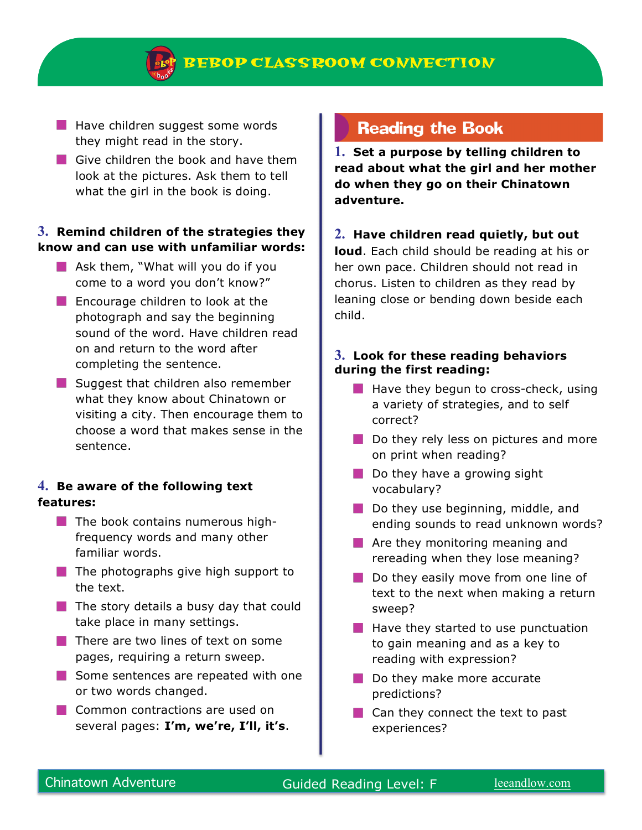- $\blacksquare$  Have children suggest some words they might read in the story.
- Give children the book and have them look at the pictures. Ask them to tell what the girl in the book is doing.

#### **3. Remind children of the strategies they know and can use with unfamiliar words:**

- $\blacksquare$  Ask them, "What will you do if you come to a word you don't know?"
- **Encourage children to look at the** photograph and say the beginning sound of the word. Have children read on and return to the word after completing the sentence.
- $\blacksquare$  Suggest that children also remember what they know about Chinatown or visiting a city. Then encourage them to choose a word that makes sense in the sentence.

#### **4. Be aware of the following text features:**

- $\blacksquare$  The book contains numerous highfrequency words and many other familiar words.
- $\blacksquare$  The photographs give high support to the text.
- $\blacksquare$  The story details a busy day that could take place in many settings.
- $\blacksquare$  There are two lines of text on some pages, requiring a return sweep.
- Some sentences are repeated with one or two words changed.
- **Common contractions are used on** several pages: **I'm, we're, I'll, it's**.

## **Reading the Book**

**1. Set a purpose by telling children to read about what the girl and her mother do when they go on their Chinatown adventure.** 

#### **2. Have children read quietly, but out**

**loud**. Each child should be reading at his or her own pace. Children should not read in chorus. Listen to children as they read by leaning close or bending down beside each child.

#### **3. Look for these reading behaviors during the first reading:**

- $\blacksquare$  Have they begun to cross-check, using a variety of strategies, and to self correct?
- Do they rely less on pictures and more on print when reading?
- $\blacksquare$  Do they have a growing sight vocabulary?
- $\Box$  Do they use beginning, middle, and ending sounds to read unknown words?
- **Are they monitoring meaning and** rereading when they lose meaning?
- Do they easily move from one line of text to the next when making a return sweep?
- $\blacksquare$  Have they started to use punctuation to gain meaning and as a key to reading with expression?
- Do they make more accurate predictions?
- $\Box$  Can they connect the text to past experiences?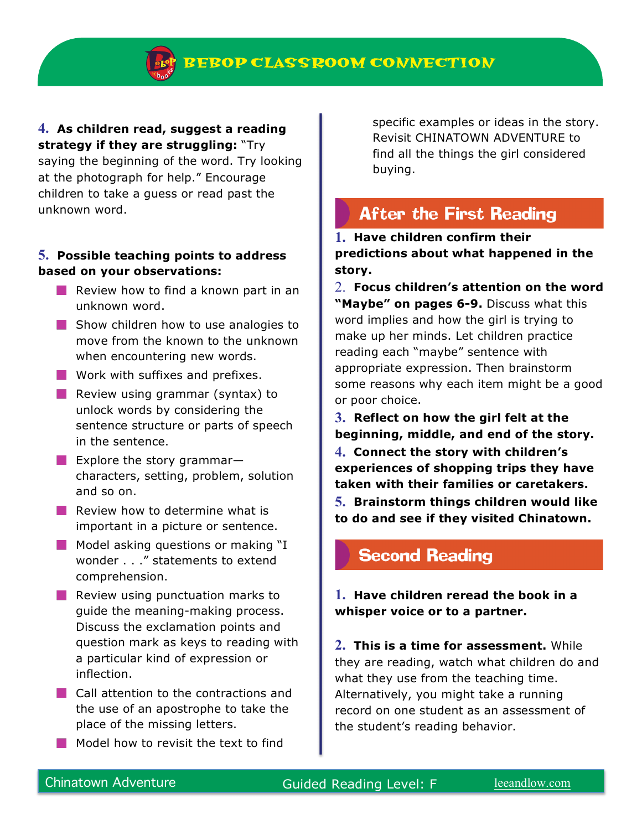#### **4. As children read, suggest a reading strategy if they are struggling:** "Try

saying the beginning of the word. Try looking at the photograph for help." Encourage children to take a guess or read past the unknown word.

#### **5. Possible teaching points to address based on your observations:**

- **Review how to find a known part in an** unknown word.
- Show children how to use analogies to move from the known to the unknown when encountering new words.
- **Work with suffixes and prefixes.**
- **Review using grammar (syntax) to** unlock words by considering the sentence structure or parts of speech in the sentence.
- **Explore the story grammar–** characters, setting, problem, solution and so on.
- $\blacksquare$  Review how to determine what is important in a picture or sentence.
- $\blacksquare$  Model asking questions or making "I wonder . . ." statements to extend comprehension.
- $\blacksquare$  Review using punctuation marks to guide the meaning-making process. Discuss the exclamation points and question mark as keys to reading with a particular kind of expression or inflection.
- **Call attention to the contractions and** the use of an apostrophe to take the place of the missing letters.
- Model how to revisit the text to find

specific examples or ideas in the story. Revisit CHINATOWN ADVENTURE to find all the things the girl considered buying.

# **After the First Reading**

**1. Have children confirm their predictions about what happened in the story.** 

- 2. **Focus children's attention on the word "Maybe" on pages 6-9.** Discuss what this word implies and how the girl is trying to make up her minds. Let children practice reading each "maybe" sentence with appropriate expression. Then brainstorm some reasons why each item might be a good or poor choice.
- **3. Reflect on how the girl felt at the beginning, middle, and end of the story.**
- **4. Connect the story with children's experiences of shopping trips they have taken with their families or caretakers.**
- **5. Brainstorm things children would like to do and see if they visited Chinatown.**

## **Second Reading**

**1. Have children reread the book in a whisper voice or to a partner.**

**2. This is a time for assessment.** While they are reading, watch what children do and what they use from the teaching time. Alternatively, you might take a running record on one student as an assessment of the student's reading behavior.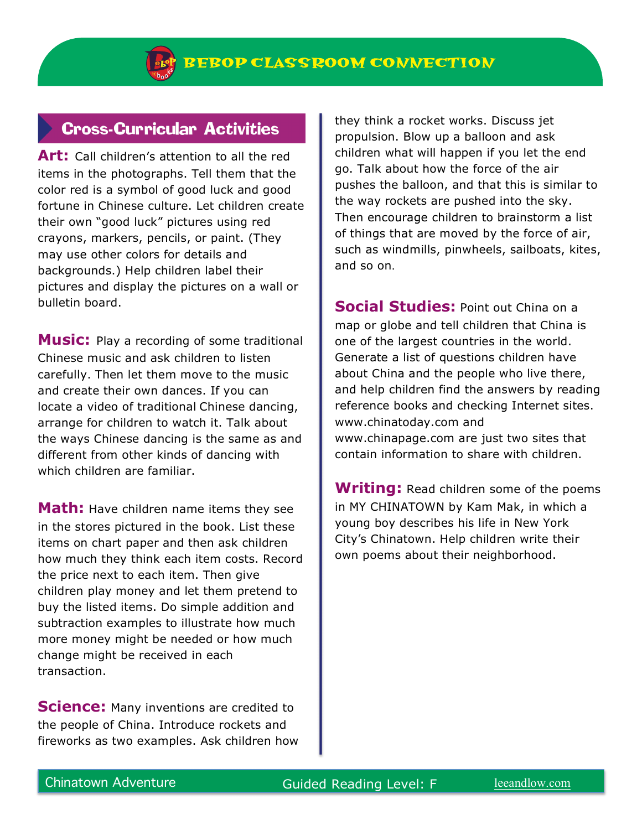## **Cross-Curricular Activities**

**Art:** Call children's attention to all the red items in the photographs. Tell them that the color red is a symbol of good luck and good fortune in Chinese culture. Let children create their own "good luck" pictures using red crayons, markers, pencils, or paint. (They may use other colors for details and backgrounds.) Help children label their pictures and display the pictures on a wall or bulletin board.

**Music:** Play a recording of some traditional Chinese music and ask children to listen carefully. Then let them move to the music and create their own dances. If you can locate a video of traditional Chinese dancing, arrange for children to watch it. Talk about the ways Chinese dancing is the same as and different from other kinds of dancing with which children are familiar.

**Math:** Have children name items they see in the stores pictured in the book. List these items on chart paper and then ask children how much they think each item costs. Record the price next to each item. Then give children play money and let them pretend to buy the listed items. Do simple addition and subtraction examples to illustrate how much more money might be needed or how much change might be received in each transaction.

**Science:** Many inventions are credited to the people of China. Introduce rockets and fireworks as two examples. Ask children how they think a rocket works. Discuss jet propulsion. Blow up a balloon and ask children what will happen if you let the end go. Talk about how the force of the air pushes the balloon, and that this is similar to the way rockets are pushed into the sky. Then encourage children to brainstorm a list of things that are moved by the force of air, such as windmills, pinwheels, sailboats, kites, and so on.

**Social Studies:** Point out China on a map or globe and tell children that China is one of the largest countries in the world. Generate a list of questions children have about China and the people who live there, and help children find the answers by reading reference books and checking Internet sites. www.chinatoday.com and www.chinapage.com are just two sites that contain information to share with children.

**Writing:** Read children some of the poems in MY CHINATOWN by Kam Mak, in which a young boy describes his life in New York City's Chinatown. Help children write their own poems about their neighborhood.